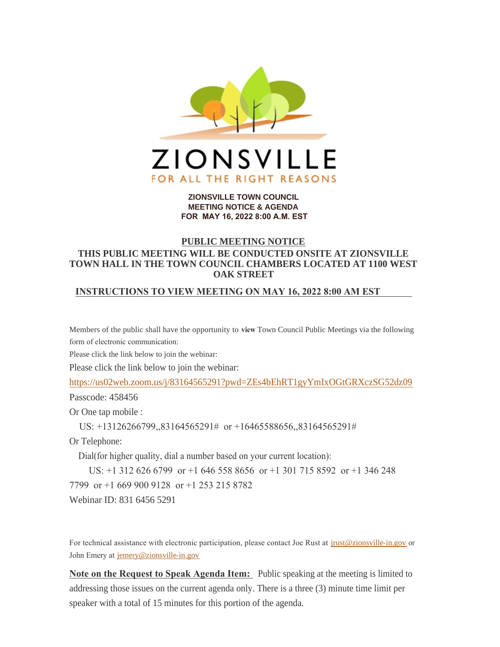

#### **ZIONSVILLE TOWN COUNCIL MEETING NOTICE & AGENDA FOR MAY 16, 2022 8:00 A.M. EST**

# **PUBLIC MEETING NOTICE**

# **THIS PUBLIC MEETING WILL BE CONDUCTED ONSITE AT ZIONSVILLE TOWN HALL IN THE TOWN COUNCIL CHAMBERS LOCATED AT 1100 WEST OAK STREET**

### **INSTRUCTIONS TO VIEW MEETING ON MAY 16, 2022 8:00 AM EST**

Members of the public shall have the opportunity to **view** Town Council Public Meetings via the following form of electronic communication:

Please click the link below to join the webinar:

Please click the link below to join the webinar:

<https://us02web.zoom.us/j/83164565291?pwd=ZEs4bEhRT1gyYmIxOGtGRXczSG52dz09>

Passcode: 458456

Or One tap mobile :

US: +13126266799,,83164565291# or +16465588656,,83164565291#

Or Telephone:

Dial(for higher quality, dial a number based on your current location):

US: +1 312 626 6799 or +1 646 558 8656 or +1 301 715 8592 or +1 346 248

7799 or +1 669 900 9128 or +1 253 215 8782

Webinar ID: 831 6456 5291

For technical assistance with electronic participation, please contact Joe Rust at *[jrust@zionsville-in.gov](mailto:jrust@zionsville-in.gov)* or John Emery at [jemery@zionsville-in.gov](mailto:jemery@zionsville-in.gov)

**Note on the Request to Speak Agenda Item:** Public speaking at the meeting is limited to addressing those issues on the current agenda only. There is a three (3) minute time limit per speaker with a total of 15 minutes for this portion of the agenda.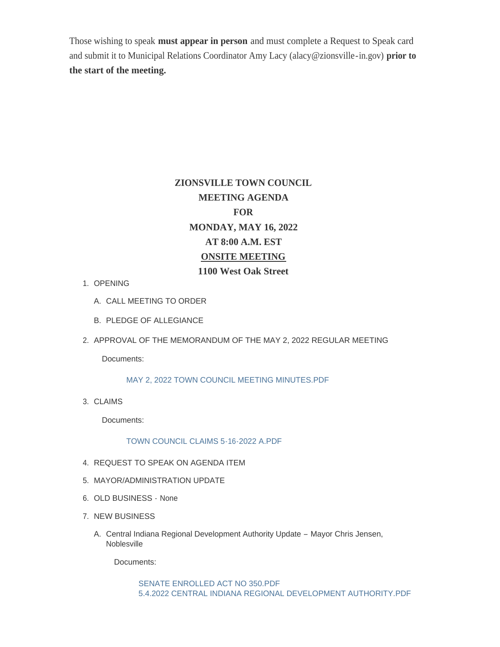Those wishing to speak **must appear in person** and must complete a Request to Speak card and submit it to Municipal Relations Coordinator Amy Lacy (alacy@zionsville-in.gov) **prior to the start of the meeting.**

# **ZIONSVILLE TOWN COUNCIL MEETING AGENDA FOR MONDAY, MAY 16, 2022 AT 8:00 A.M. EST ONSITE MEETING 1100 West Oak Street**

- 1. OPENING
	- A. CALL MEETING TO ORDER
	- B. PLEDGE OF ALLEGIANCE
- 2. APPROVAL OF THE MEMORANDUM OF THE MAY 2, 2022 REGULAR MEETING

Documents:

[MAY 2, 2022 TOWN COUNCIL MEETING MINUTES.PDF](http://www.zionsville-in.gov/AgendaCenter/ViewFile/Item/3469?fileID=4751)

CLAIMS 3.

Documents:

[TOWN COUNCIL CLAIMS 5-16-2022 A.PDF](http://www.zionsville-in.gov/AgendaCenter/ViewFile/Item/3463?fileID=4748)

- 4. REQUEST TO SPEAK ON AGENDA ITEM
- MAYOR/ADMINISTRATION UPDATE 5.
- 6. OLD BUSINESS None
- 7. NEW BUSINESS
	- Central Indiana Regional Development Authority Update Mayor Chris Jensen, A. **Noblesville**

Documents:

[SENATE ENROLLED ACT NO 350.PDF](http://www.zionsville-in.gov/AgendaCenter/ViewFile/Item/3467?fileID=4749) [5.4.2022 CENTRAL INDIANA REGIONAL DEVELOPMENT AUTHORITY.PDF](http://www.zionsville-in.gov/AgendaCenter/ViewFile/Item/3467?fileID=4750)